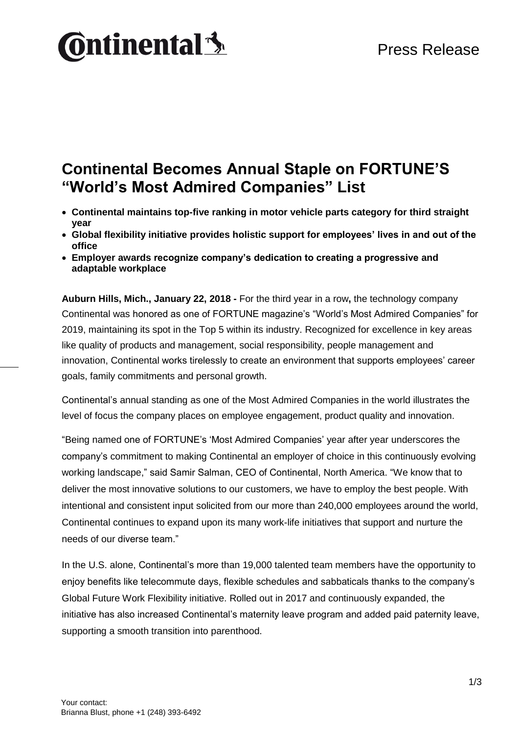# **Ontinental 3**

## **Continental Becomes Annual Staple on FORTUNE'S "World's Most Admired Companies" List**

- **Continental maintains top-five ranking in motor vehicle parts category for third straight year**
- **Global flexibility initiative provides holistic support for employees' lives in and out of the office**
- **Employer awards recognize company's dedication to creating a progressive and adaptable workplace**

**Auburn Hills, Mich., January 22, 2018 -** For the third year in a row**,** the technology company Continental was honored as one of FORTUNE magazine's "World's Most Admired Companies" for 2019, maintaining its spot in the Top 5 within its industry. Recognized for excellence in key areas like quality of products and management, social responsibility, people management and innovation, Continental works tirelessly to create an environment that supports employees' career goals, family commitments and personal growth.

Continental's annual standing as one of the Most Admired Companies in the world illustrates the level of focus the company places on employee engagement, product quality and innovation.

"Being named one of FORTUNE's 'Most Admired Companies' year after year underscores the company's commitment to making Continental an employer of choice in this continuously evolving working landscape," said Samir Salman, CEO of Continental, North America. "We know that to deliver the most innovative solutions to our customers, we have to employ the best people. With intentional and consistent input solicited from our more than 240,000 employees around the world, Continental continues to expand upon its many work-life initiatives that support and nurture the needs of our diverse team."

In the U.S. alone, Continental's more than 19,000 talented team members have the opportunity to enjoy benefits like telecommute days, flexible schedules and sabbaticals thanks to the company's Global Future Work Flexibility initiative. Rolled out in 2017 and continuously expanded, the initiative has also increased Continental's maternity leave program and added paid paternity leave, supporting a smooth transition into parenthood.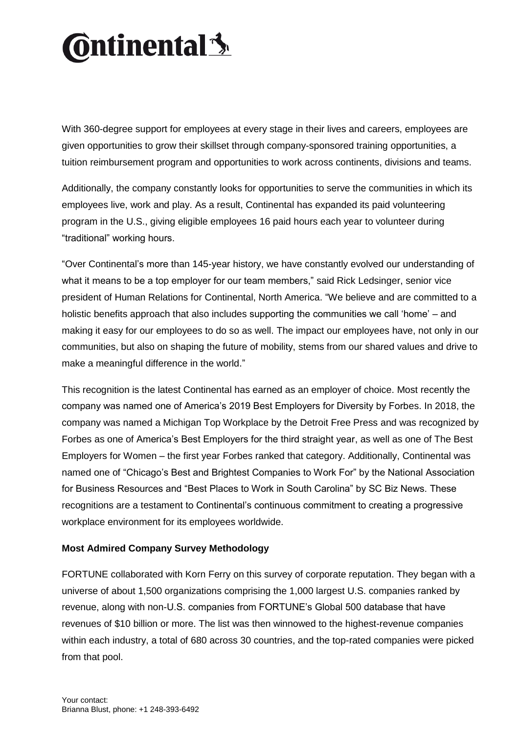# **Ontinental 3**

With 360-degree support for employees at every stage in their lives and careers, employees are given opportunities to grow their skillset through company-sponsored training opportunities, a tuition reimbursement program and opportunities to work across continents, divisions and teams.

Additionally, the company constantly looks for opportunities to serve the communities in which its employees live, work and play. As a result, Continental has expanded its paid volunteering program in the U.S., giving eligible employees 16 paid hours each year to volunteer during "traditional" working hours.

"Over Continental's more than 145-year history, we have constantly evolved our understanding of what it means to be a top employer for our team members," said Rick Ledsinger, senior vice president of Human Relations for Continental, North America. "We believe and are committed to a holistic benefits approach that also includes supporting the communities we call 'home' – and making it easy for our employees to do so as well. The impact our employees have, not only in our communities, but also on shaping the future of mobility, stems from our shared values and drive to make a meaningful difference in the world."

This recognition is the latest Continental has earned as an employer of choice. Most recently the company was named one of America's 2019 Best Employers for Diversity by Forbes. In 2018, the company was named a Michigan Top Workplace by the Detroit Free Press and was recognized by Forbes as one of America's Best Employers for the third straight year, as well as one of The Best Employers for Women – the first year Forbes ranked that category. Additionally, Continental was named one of "Chicago's Best and Brightest Companies to Work For" by the National Association for Business Resources and "Best Places to Work in South Carolina" by SC Biz News. These recognitions are a testament to Continental's continuous commitment to creating a progressive workplace environment for its employees worldwide.

### **Most Admired Company Survey Methodology**

FORTUNE collaborated with Korn Ferry on this survey of corporate reputation. They began with a universe of about 1,500 organizations comprising the 1,000 largest U.S. companies ranked by revenue, along with non-U.S. companies from FORTUNE's Global 500 database that have revenues of \$10 billion or more. The list was then winnowed to the highest-revenue companies within each industry, a total of 680 across 30 countries, and the top-rated companies were picked from that pool.